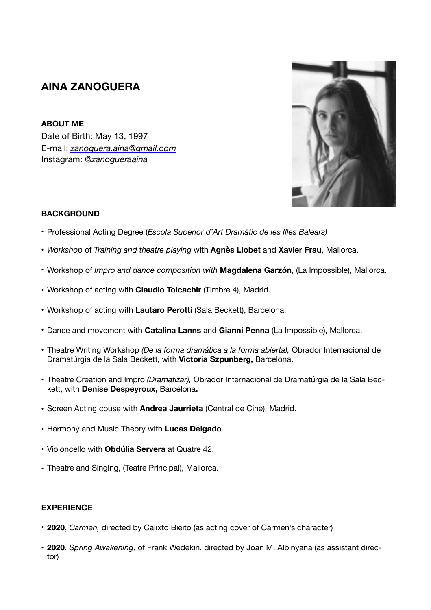# **AINA ZANOGUERA**

**ABOUT ME** Date of Birth: May 13, 1997 E-mail: *[zanoguera.aina@gmail.com](mailto:zanoguera.aina@gmail.com)* Instagram: @*zanogueraaina* 



## **BACKGROUND**

- Professional Acting Degree (*Escola Superior d'Art Dramàtic de les Illes Balears)*
- *Workshop* of *Training and theatre playing* with **Agnès Llobet** and **Xavier Frau**, Mallorca.
- Workshop of *Impro and dance composition with* **Magdalena Garzón**, (La Impossible), Mallorca.
- Workshop of acting with **Claudio Tolcachir** (Timbre 4), Madrid.
- Workshop of acting with **Lautaro Perotti** (Sala Beckett), Barcelona.
- Dance and movement with **Catalina Lanns** and **Gianni Penna** (La Impossible), Mallorca.
- Theatre Writing Workshop *(De la forma dramática a la forma abierta),* Obrador Internacional de Dramatúrgia de la Sala Beckett, with **Victoria Szpunberg,** Barcelona**.**
- Theatre Creation and Impro *(Dramatizar),* Obrador Internacional de Dramatúrgia de la Sala Beckett, with **Denise Despeyroux,** Barcelona**.**
- Screen Acting couse with **Andrea Jaurrieta** (Central de Cine), Madrid.
- Harmony and Music Theory with **Lucas Delgado**.
- Violoncello with **Obdúlia Servera** at Quatre 42.
- Theatre and Singing, (Teatre Principal), Mallorca.

#### **EXPERIENCE**

- **2020**, *Carmen,* directed by Calixto Bieito (as acting cover of Carmen's character)
- **2020**, *Spring Awakening*, of Frank Wedekin, directed by Joan M. Albinyana (as assistant director)